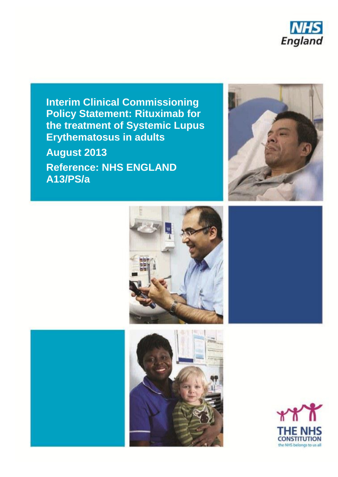

**Interim Clinical Commissioning Policy Statement: Rituximab for the treatment of Systemic Lupus Erythematosus in adults**

**August 2013** 

**Reference: NHS ENGLAND A13/PS/a**







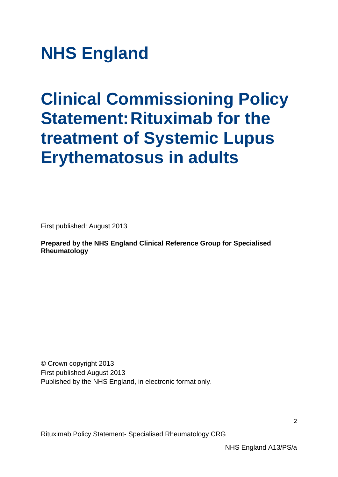**NHS England**

# **Clinical Commissioning Policy Statement: Rituximab for the treatment of Systemic Lupus Erythematosus in adults**

First published: August 2013

**Prepared by the NHS England Clinical Reference Group for Specialised Rheumatology**

© Crown copyright 2013 First published August 2013 Published by the NHS England, in electronic format only.

Rituximab Policy Statement- Specialised Rheumatology CRG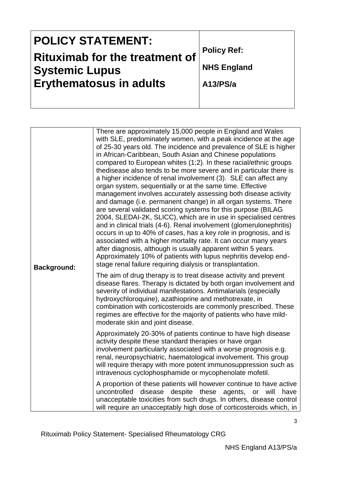| <b>POLICY STATEMENT:</b>              |                    |
|---------------------------------------|--------------------|
| <b>Rituximab for the treatment of</b> | <b>Policy Ref:</b> |
| <b>Systemic Lupus</b>                 | <b>NHS England</b> |
| <b>Erythematosus in adults</b>        | A13/PS/a           |
|                                       |                    |

| <b>Background:</b> | There are approximately 15,000 people in England and Wales<br>with SLE, predominately women, with a peak incidence at the age<br>of 25-30 years old. The incidence and prevalence of SLE is higher<br>in African-Caribbean, South Asian and Chinese populations<br>compared to European whites (1;2). In these racial/ethnic groups<br>thedisease also tends to be more severe and in particular there is<br>a higher incidence of renal involvement (3). SLE can affect any<br>organ system, sequentially or at the same time. Effective<br>management involves accurately assessing both disease activity<br>and damage (i.e. permanent change) in all organ systems. There<br>are several validated scoring systems for this purpose (BILAG<br>2004, SLEDAI-2K, SLICC), which are in use in specialised centres<br>and in clinical trials (4-6). Renal involvement (glomerulonephritis)<br>occurs in up to 40% of cases, has a key role in prognosis, and is<br>associated with a higher mortality rate. It can occur many years<br>after diagnosis, although is usually apparent within 5 years.<br>Approximately 10% of patients with lupus nephritis develop end-<br>stage renal failure requiring dialysis or transplantation. |  |  |
|--------------------|---------------------------------------------------------------------------------------------------------------------------------------------------------------------------------------------------------------------------------------------------------------------------------------------------------------------------------------------------------------------------------------------------------------------------------------------------------------------------------------------------------------------------------------------------------------------------------------------------------------------------------------------------------------------------------------------------------------------------------------------------------------------------------------------------------------------------------------------------------------------------------------------------------------------------------------------------------------------------------------------------------------------------------------------------------------------------------------------------------------------------------------------------------------------------------------------------------------------------------------|--|--|
|                    | The aim of drug therapy is to treat disease activity and prevent<br>disease flares. Therapy is dictated by both organ involvement and<br>severity of individual manifestations. Antimalarials (especially<br>hydroxychloroquine), azathioprine and methotrexate, in<br>combination with corticosteroids are commonly prescribed. These<br>regimes are effective for the majority of patients who have mild-<br>moderate skin and joint disease.                                                                                                                                                                                                                                                                                                                                                                                                                                                                                                                                                                                                                                                                                                                                                                                       |  |  |
|                    | Approximately 20-30% of patients continue to have high disease<br>activity despite these standard therapies or have organ<br>involvement particularly associated with a worse prognosis e.g.<br>renal, neuropsychiatric, haematological involvement. This group<br>will require therapy with more potent immunosuppression such as<br>intravenous cyclophosphamide or mycophenolate mofetil.                                                                                                                                                                                                                                                                                                                                                                                                                                                                                                                                                                                                                                                                                                                                                                                                                                          |  |  |
|                    | A proportion of these patients will however continue to have active<br>uncontrolled<br>disease despite these<br>agents,<br>or will<br>have<br>unacceptable toxicities from such drugs. In others, disease control<br>will require an unacceptably high dose of corticosteroids which, in                                                                                                                                                                                                                                                                                                                                                                                                                                                                                                                                                                                                                                                                                                                                                                                                                                                                                                                                              |  |  |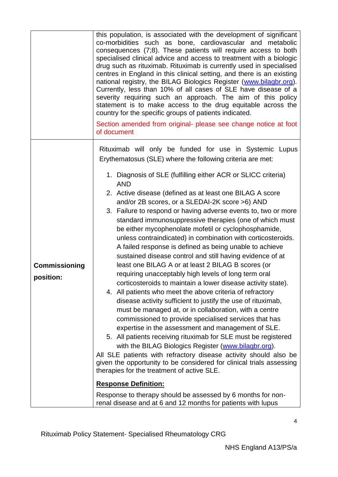|                                   | this population, is associated with the development of significant<br>co-morbidities such as bone, cardiovascular and metabolic<br>consequences (7;8). These patients will require access to both<br>specialised clinical advice and access to treatment with a biologic<br>drug such as rituximab. Rituximab is currently used in specialised<br>centres in England in this clinical setting, and there is an existing<br>national registry, the BILAG Biologics Register (www.bilagbr.org).<br>Currently, less than 10% of all cases of SLE have disease of a<br>severity requiring such an approach. The aim of this policy<br>statement is to make access to the drug equitable across the<br>country for the specific groups of patients indicated.<br>Section amended from original- please see change notice at foot<br>of document |  |  |  |  |
|-----------------------------------|--------------------------------------------------------------------------------------------------------------------------------------------------------------------------------------------------------------------------------------------------------------------------------------------------------------------------------------------------------------------------------------------------------------------------------------------------------------------------------------------------------------------------------------------------------------------------------------------------------------------------------------------------------------------------------------------------------------------------------------------------------------------------------------------------------------------------------------------|--|--|--|--|
|                                   | Rituximab will only be funded for use in Systemic Lupus<br>Erythematosus (SLE) where the following criteria are met:<br>1. Diagnosis of SLE (fulfilling either ACR or SLICC criteria)<br><b>AND</b><br>2. Active disease (defined as at least one BILAG A score<br>and/or 2B scores, or a SLEDAI-2K score >6) AND<br>3. Failure to respond or having adverse events to, two or more<br>standard immunosuppressive therapies (one of which must<br>be either mycophenolate mofetil or cyclophosphamide,<br>unless contraindicated) in combination with corticosteroids.<br>A failed response is defined as being unable to achieve<br>sustained disease control and still having evidence of at                                                                                                                                             |  |  |  |  |
| <b>Commissioning</b><br>position: | least one BILAG A or at least 2 BILAG B scores (or<br>requiring unacceptably high levels of long term oral<br>corticosteroids to maintain a lower disease activity state).<br>4. All patients who meet the above criteria of refractory<br>disease activity sufficient to justify the use of rituximab,<br>must be managed at, or in collaboration, with a centre<br>commissioned to provide specialised services that has<br>expertise in the assessment and management of SLE.<br>5. All patients receiving rituximab for SLE must be registered<br>with the BILAG Biologics Register (www.bilagbr.org).<br>All SLE patients with refractory disease activity should also be<br>given the opportunity to be considered for clinical trials assessing<br>therapies for the treatment of active SLE.<br><b>Response Definition:</b>        |  |  |  |  |
|                                   | Response to therapy should be assessed by 6 months for non-<br>renal disease and at 6 and 12 months for patients with lupus                                                                                                                                                                                                                                                                                                                                                                                                                                                                                                                                                                                                                                                                                                                |  |  |  |  |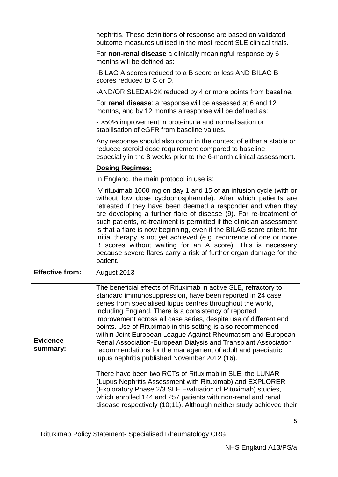|                             | nephritis. These definitions of response are based on validated<br>outcome measures utilised in the most recent SLE clinical trials.                                                                                                                                                                                                                                                                                                                                                                                                                                                                                                                                                                                                                                                                                                                                                                                                                                     |  |  |  |  |
|-----------------------------|--------------------------------------------------------------------------------------------------------------------------------------------------------------------------------------------------------------------------------------------------------------------------------------------------------------------------------------------------------------------------------------------------------------------------------------------------------------------------------------------------------------------------------------------------------------------------------------------------------------------------------------------------------------------------------------------------------------------------------------------------------------------------------------------------------------------------------------------------------------------------------------------------------------------------------------------------------------------------|--|--|--|--|
|                             | For non-renal disease a clinically meaningful response by 6<br>months will be defined as:                                                                                                                                                                                                                                                                                                                                                                                                                                                                                                                                                                                                                                                                                                                                                                                                                                                                                |  |  |  |  |
|                             | -BILAG A scores reduced to a B score or less AND BILAG B<br>scores reduced to C or D.                                                                                                                                                                                                                                                                                                                                                                                                                                                                                                                                                                                                                                                                                                                                                                                                                                                                                    |  |  |  |  |
|                             | -AND/OR SLEDAI-2K reduced by 4 or more points from baseline.                                                                                                                                                                                                                                                                                                                                                                                                                                                                                                                                                                                                                                                                                                                                                                                                                                                                                                             |  |  |  |  |
|                             | For renal disease: a response will be assessed at 6 and 12<br>months, and by 12 months a response will be defined as:                                                                                                                                                                                                                                                                                                                                                                                                                                                                                                                                                                                                                                                                                                                                                                                                                                                    |  |  |  |  |
|                             | - >50% improvement in proteinuria and normalisation or<br>stabilisation of eGFR from baseline values.                                                                                                                                                                                                                                                                                                                                                                                                                                                                                                                                                                                                                                                                                                                                                                                                                                                                    |  |  |  |  |
|                             | Any response should also occur in the context of either a stable or<br>reduced steroid dose requirement compared to baseline,<br>especially in the 8 weeks prior to the 6-month clinical assessment.                                                                                                                                                                                                                                                                                                                                                                                                                                                                                                                                                                                                                                                                                                                                                                     |  |  |  |  |
|                             | <b>Dosing Regimes:</b>                                                                                                                                                                                                                                                                                                                                                                                                                                                                                                                                                                                                                                                                                                                                                                                                                                                                                                                                                   |  |  |  |  |
|                             | In England, the main protocol in use is:                                                                                                                                                                                                                                                                                                                                                                                                                                                                                                                                                                                                                                                                                                                                                                                                                                                                                                                                 |  |  |  |  |
|                             | IV rituximab 1000 mg on day 1 and 15 of an infusion cycle (with or<br>without low dose cyclophosphamide). After which patients are<br>retreated if they have been deemed a responder and when they<br>are developing a further flare of disease (9). For re-treatment of<br>such patients, re-treatment is permitted if the clinician assessment<br>is that a flare is now beginning, even if the BILAG score criteria for<br>initial therapy is not yet achieved (e.g. recurrence of one or more<br>B scores without waiting for an A score). This is necessary<br>because severe flares carry a risk of further organ damage for the<br>patient.                                                                                                                                                                                                                                                                                                                       |  |  |  |  |
| <b>Effective from:</b>      | August 2013                                                                                                                                                                                                                                                                                                                                                                                                                                                                                                                                                                                                                                                                                                                                                                                                                                                                                                                                                              |  |  |  |  |
| <b>Evidence</b><br>summary: | The beneficial effects of Rituximab in active SLE, refractory to<br>standard immunosuppression, have been reported in 24 case<br>series from specialised lupus centres throughout the world,<br>including England. There is a consistency of reported<br>improvement across all case series, despite use of different end<br>points. Use of Rituximab in this setting is also recommended<br>within Joint European League Against Rheumatism and European<br>Renal Association-European Dialysis and Transplant Association<br>recommendations for the management of adult and paediatric<br>lupus nephritis published November 2012 (16).<br>There have been two RCTs of Rituximab in SLE, the LUNAR<br>(Lupus Nephritis Assessment with Rituximab) and EXPLORER<br>(Exploratory Phase 2/3 SLE Evaluation of Rituximab) studies,<br>which enrolled 144 and 257 patients with non-renal and renal<br>disease respectively (10;11). Although neither study achieved their |  |  |  |  |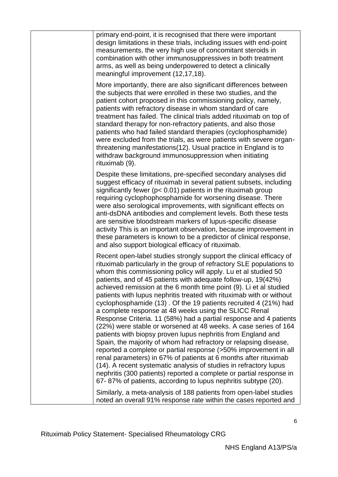| primary end-point, it is recognised that there were important<br>design limitations in these trials, including issues with end-point<br>measurements, the very high use of concomitant steroids in<br>combination with other immunosuppressives in both treatment<br>arms, as well as being underpowered to detect a clinically<br>meaningful improvement (12,17,18).                                                                                                                                                                                                                                                                                                                                                                                                                                                                                                                                                                                                                                                                                                                                                                                                                      |
|--------------------------------------------------------------------------------------------------------------------------------------------------------------------------------------------------------------------------------------------------------------------------------------------------------------------------------------------------------------------------------------------------------------------------------------------------------------------------------------------------------------------------------------------------------------------------------------------------------------------------------------------------------------------------------------------------------------------------------------------------------------------------------------------------------------------------------------------------------------------------------------------------------------------------------------------------------------------------------------------------------------------------------------------------------------------------------------------------------------------------------------------------------------------------------------------|
| More importantly, there are also significant differences between<br>the subjects that were enrolled in these two studies, and the<br>patient cohort proposed in this commissioning policy, namely,<br>patients with refractory disease in whom standard of care<br>treatment has failed. The clinical trials added rituximab on top of<br>standard therapy for non-refractory patients, and also those<br>patients who had failed standard therapies (cyclophosphamide)<br>were excluded from the trials, as were patients with severe organ-<br>threatening manifestations (12). Usual practice in England is to<br>withdraw background immunosuppression when initiating<br>rituximab (9).                                                                                                                                                                                                                                                                                                                                                                                                                                                                                               |
| Despite these limitations, pre-specified secondary analyses did<br>suggest efficacy of rituximab in several patient subsets, including<br>significantly fewer ( $p < 0.01$ ) patients in the rituximab group<br>requiring cyclophophosphamide for worsening disease. There<br>were also serological improvements, with significant effects on<br>anti-dsDNA antibodies and complement levels. Both these tests<br>are sensitive bloodstream markers of lupus-specific disease<br>activity This is an important observation, because improvement in<br>these parameters is known to be a predictor of clinical response,<br>and also support biological efficacy of rituximab.                                                                                                                                                                                                                                                                                                                                                                                                                                                                                                              |
| Recent open-label studies strongly support the clinical efficacy of<br>rituximab particularly in the group of refractory SLE populations to<br>whom this commissioning policy will apply. Lu et al studied 50<br>patients, and of 45 patients with adequate follow-up, 19(42%)<br>achieved remission at the 6 month time point (9). Li et al studied<br>patients with lupus nephritis treated with rituximab with or without<br>cyclophosphamide (13). Of the 19 patients recruited 4 (21%) had<br>a complete response at 48 weeks using the SLICC Renal<br>Response Criteria. 11 (58%) had a partial response and 4 patients<br>(22%) were stable or worsened at 48 weeks. A case series of 164<br>patients with biopsy proven lupus nephritis from England and<br>Spain, the majority of whom had refractory or relapsing disease,<br>reported a complete or partial response (>50% improvement in all<br>renal parameters) in 67% of patients at 6 months after rituximab<br>(14). A recent systematic analysis of studies in refractory lupus<br>nephritis (300 patients) reported a complete or partial response in<br>67-87% of patients, according to lupus nephritis subtype (20). |
| Similarly, a meta-analysis of 188 patients from open-label studies<br>noted an overall 91% response rate within the cases reported and                                                                                                                                                                                                                                                                                                                                                                                                                                                                                                                                                                                                                                                                                                                                                                                                                                                                                                                                                                                                                                                     |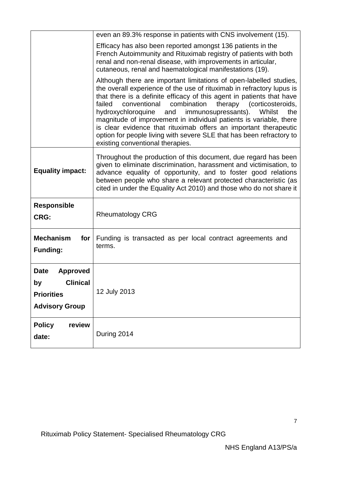|                                                                                                | even an 89.3% response in patients with CNS involvement (15).                                                                                                                                                                                                                                                                                                                                                                                                                                                                                                                                                            |  |  |  |
|------------------------------------------------------------------------------------------------|--------------------------------------------------------------------------------------------------------------------------------------------------------------------------------------------------------------------------------------------------------------------------------------------------------------------------------------------------------------------------------------------------------------------------------------------------------------------------------------------------------------------------------------------------------------------------------------------------------------------------|--|--|--|
|                                                                                                | Efficacy has also been reported amongst 136 patients in the<br>French Autoimmunity and Rituximab registry of patients with both<br>renal and non-renal disease, with improvements in articular,<br>cutaneous, renal and haematological manifestations (19).                                                                                                                                                                                                                                                                                                                                                              |  |  |  |
|                                                                                                | Although there are important limitations of open-labelled studies,<br>the overall experience of the use of rituximab in refractory lupus is<br>that there is a definite efficacy of this agent in patients that have<br>combination<br>conventional<br>therapy<br>(corticosteroids,<br>failed<br>hydroxychloroquine<br>immunosupressants).<br>Whilst<br>and<br>the<br>magnitude of improvement in individual patients is variable, there<br>is clear evidence that rituximab offers an important therapeutic<br>option for people living with severe SLE that has been refractory to<br>existing conventional therapies. |  |  |  |
| <b>Equality impact:</b>                                                                        | Throughout the production of this document, due regard has been<br>given to eliminate discrimination, harassment and victimisation, to<br>advance equality of opportunity, and to foster good relations<br>between people who share a relevant protected characteristic (as<br>cited in under the Equality Act 2010) and those who do not share it                                                                                                                                                                                                                                                                       |  |  |  |
| <b>Responsible</b><br><b>CRG:</b>                                                              | <b>Rheumatology CRG</b>                                                                                                                                                                                                                                                                                                                                                                                                                                                                                                                                                                                                  |  |  |  |
| <b>Mechanism</b><br>for<br><b>Funding:</b>                                                     | Funding is transacted as per local contract agreements and<br>terms.                                                                                                                                                                                                                                                                                                                                                                                                                                                                                                                                                     |  |  |  |
| Date<br><b>Approved</b><br><b>Clinical</b><br>by<br><b>Priorities</b><br><b>Advisory Group</b> | 12 July 2013                                                                                                                                                                                                                                                                                                                                                                                                                                                                                                                                                                                                             |  |  |  |
| review<br><b>Policy</b><br>date:                                                               | During 2014                                                                                                                                                                                                                                                                                                                                                                                                                                                                                                                                                                                                              |  |  |  |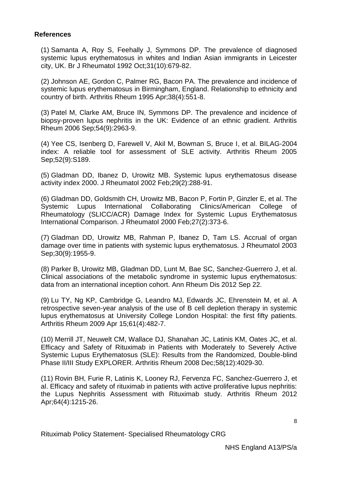### **References**

(1) Samanta A, Roy S, Feehally J, Symmons DP. The prevalence of diagnosed systemic lupus erythematosus in whites and Indian Asian immigrants in Leicester city, UK. Br J Rheumatol 1992 Oct;31(10):679-82.

(2) Johnson AE, Gordon C, Palmer RG, Bacon PA. The prevalence and incidence of systemic lupus erythematosus in Birmingham, England. Relationship to ethnicity and country of birth. Arthritis Rheum 1995 Apr;38(4):551-8.

(3) Patel M, Clarke AM, Bruce IN, Symmons DP. The prevalence and incidence of biopsy-proven lupus nephritis in the UK: Evidence of an ethnic gradient. Arthritis Rheum 2006 Sep;54(9):2963-9.

(4) Yee CS, Isenberg D, Farewell V, Akil M, Bowman S, Bruce I, et al. BILAG-2004 index: A reliable tool for assessment of SLE activity. Arthritis Rheum 2005 Sep;52(9):S189.

(5) Gladman DD, Ibanez D, Urowitz MB. Systemic lupus erythematosus disease activity index 2000. J Rheumatol 2002 Feb;29(2):288-91.

(6) Gladman DD, Goldsmith CH, Urowitz MB, Bacon P, Fortin P, Ginzler E, et al. The Systemic Lupus International Collaborating Clinics/American College of Rheumatology (SLICC/ACR) Damage Index for Systemic Lupus Erythematosus International Comparison. J Rheumatol 2000 Feb;27(2):373-6.

(7) Gladman DD, Urowitz MB, Rahman P, Ibanez D, Tam LS. Accrual of organ damage over time in patients with systemic lupus erythematosus. J Rheumatol 2003 Sep;30(9):1955-9.

(8) Parker B, Urowitz MB, Gladman DD, Lunt M, Bae SC, Sanchez-Guerrero J, et al. Clinical associations of the metabolic syndrome in systemic lupus erythematosus: data from an international inception cohort. Ann Rheum Dis 2012 Sep 22.

(9) Lu TY, Ng KP, Cambridge G, Leandro MJ, Edwards JC, Ehrenstein M, et al. A retrospective seven-year analysis of the use of B cell depletion therapy in systemic lupus erythematosus at University College London Hospital: the first fifty patients. Arthritis Rheum 2009 Apr 15;61(4):482-7.

(10) Merrill JT, Neuwelt CM, Wallace DJ, Shanahan JC, Latinis KM, Oates JC, et al. Efficacy and Safety of Rituximab in Patients with Moderately to Severely Active Systemic Lupus Erythematosus (SLE): Results from the Randomized, Double-blind Phase II/III Study EXPLORER. Arthritis Rheum 2008 Dec;58(12):4029-30.

(11) Rovin BH, Furie R, Latinis K, Looney RJ, Fervenza FC, Sanchez-Guerrero J, et al. Efficacy and safety of rituximab in patients with active proliferative lupus nephritis: the Lupus Nephritis Assessment with Rituximab study. Arthritis Rheum 2012 Apr;64(4):1215-26.

8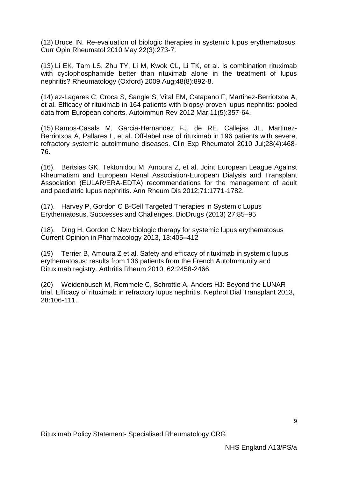(12) Bruce IN. Re-evaluation of biologic therapies in systemic lupus erythematosus. Curr Opin Rheumatol 2010 May;22(3):273-7.

(13) Li EK, Tam LS, Zhu TY, Li M, Kwok CL, Li TK, et al. Is combination rituximab with cyclophosphamide better than rituximab alone in the treatment of lupus nephritis? Rheumatology (Oxford) 2009 Aug;48(8):892-8.

(14) az-Lagares C, Croca S, Sangle S, Vital EM, Catapano F, Martinez-Berriotxoa A, et al. Efficacy of rituximab in 164 patients with biopsy-proven lupus nephritis: pooled data from European cohorts. Autoimmun Rev 2012 Mar;11(5):357-64.

(15) Ramos-Casals M, Garcia-Hernandez FJ, de RE, Callejas JL, Martinez-Berriotxoa A, Pallares L, et al. Off-label use of rituximab in 196 patients with severe, refractory systemic autoimmune diseases. Clin Exp Rheumatol 2010 Jul;28(4):468- 76.

(16). Bertsias GK, Tektonidou M, Amoura Z, et al. Joint European League Against Rheumatism and European Renal Association-European Dialysis and Transplant Association (EULAR/ERA-EDTA) recommendations for the management of adult and paediatric lupus nephritis. Ann Rheum Dis 2012;71:1771-1782.

(17). Harvey P, Gordon C B-Cell Targeted Therapies in Systemic Lupus Erythematosus. Successes and Challenges. BioDrugs (2013) 27:85–95

(18). Ding H, Gordon C New biologic therapy for systemic lupus erythematosus Current Opinion in Pharmacology 2013, 13:405**–**412

(19) Terrier B, Amoura Z et al. Safety and efficacy of rituximab in systemic lupus erythematosus: results from 136 patients from the French AutoImmunity and Rituximab registry. Arthritis Rheum 2010, 62:2458-2466.

(20) Weidenbusch M, Rommele C, Schrottle A, Anders HJ: Beyond the LUNAR trial. Efficacy of rituximab in refractory lupus nephritis. Nephrol Dial Transplant 2013, 28:106-111.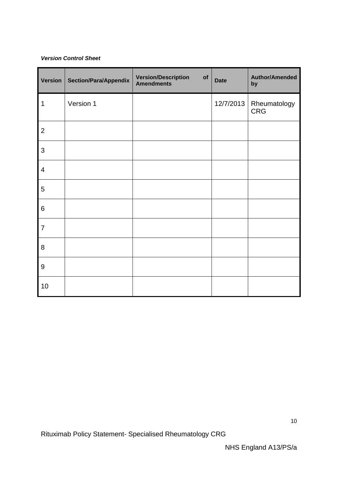#### *Version Control Sheet*

| <b>Version</b> | <b>Section/Para/Appendix</b> | <b>Version/Description</b><br>of<br><b>Amendments</b> | <b>Date</b> | <b>Author/Amended</b><br>by |
|----------------|------------------------------|-------------------------------------------------------|-------------|-----------------------------|
| $\mathbf 1$    | Version 1                    |                                                       | 12/7/2013   | Rheumatology<br><b>CRG</b>  |
| $\overline{2}$ |                              |                                                       |             |                             |
| $\mathbf{3}$   |                              |                                                       |             |                             |
| $\overline{4}$ |                              |                                                       |             |                             |
| $\sqrt{5}$     |                              |                                                       |             |                             |
| 6              |                              |                                                       |             |                             |
| $\overline{7}$ |                              |                                                       |             |                             |
| 8              |                              |                                                       |             |                             |
| $9\,$          |                              |                                                       |             |                             |
| 10             |                              |                                                       |             |                             |

Rituximab Policy Statement- Specialised Rheumatology CRG